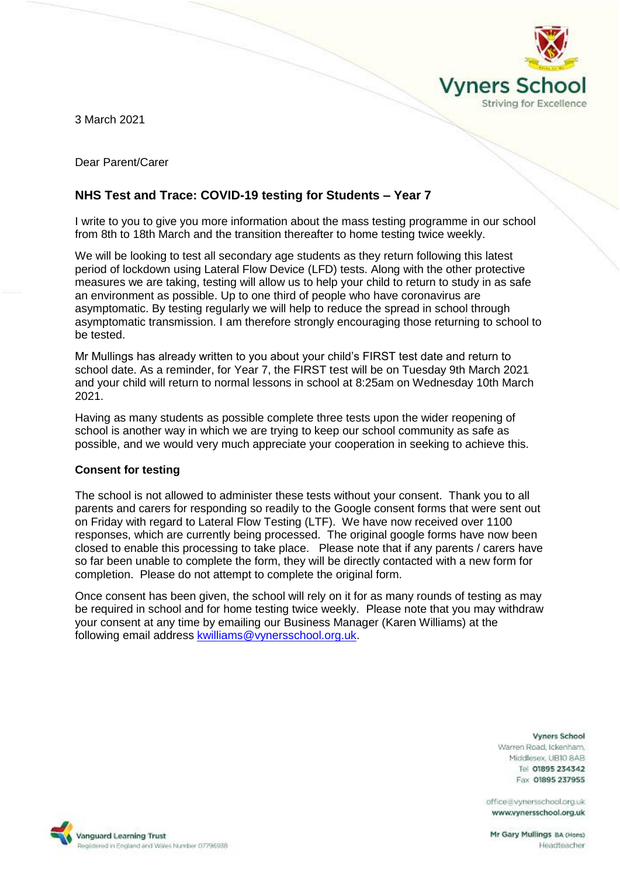

3 March 2021

Dear Parent/Carer

# **NHS Test and Trace: COVID-19 testing for Students – Year 7**

I write to you to give you more information about the mass testing programme in our school from 8th to 18th March and the transition thereafter to home testing twice weekly.

We will be looking to test all secondary age students as they return following this latest period of lockdown using Lateral Flow Device (LFD) tests. Along with the other protective measures we are taking, testing will allow us to help your child to return to study in as safe an environment as possible. Up to one third of people who have coronavirus are asymptomatic. By testing regularly we will help to reduce the spread in school through asymptomatic transmission. I am therefore strongly encouraging those returning to school to be tested.

Mr Mullings has already written to you about your child's FIRST test date and return to school date. As a reminder, for Year 7, the FIRST test will be on Tuesday 9th March 2021 and your child will return to normal lessons in school at 8:25am on Wednesday 10th March 2021.

Having as many students as possible complete three tests upon the wider reopening of school is another way in which we are trying to keep our school community as safe as possible, and we would very much appreciate your cooperation in seeking to achieve this.

# **Consent for testing**

The school is not allowed to administer these tests without your consent. Thank you to all parents and carers for responding so readily to the Google consent forms that were sent out on Friday with regard to Lateral Flow Testing (LTF). We have now received over 1100 responses, which are currently being processed. The original google forms have now been closed to enable this processing to take place. Please note that if any parents / carers have so far been unable to complete the form, they will be directly contacted with a new form for completion. Please do not attempt to complete the original form.

Once consent has been given, the school will rely on it for as many rounds of testing as may be required in school and for home testing twice weekly. Please note that you may withdraw your consent at any time by emailing our Business Manager (Karen Williams) at the following email address [kwilliams@vynersschool.org.uk.](mailto:kwilliams@vynersschool.org.uk)

#### **Vyners School**

Warren Road, Ickenham. Middlesex UBIO 8AB Tel 01895 234342 Fax 01895 237955

office@vynersschool.org.uk www.vynersschool.org.uk

Mr Gary Mullings BA (Hons) Headteacher

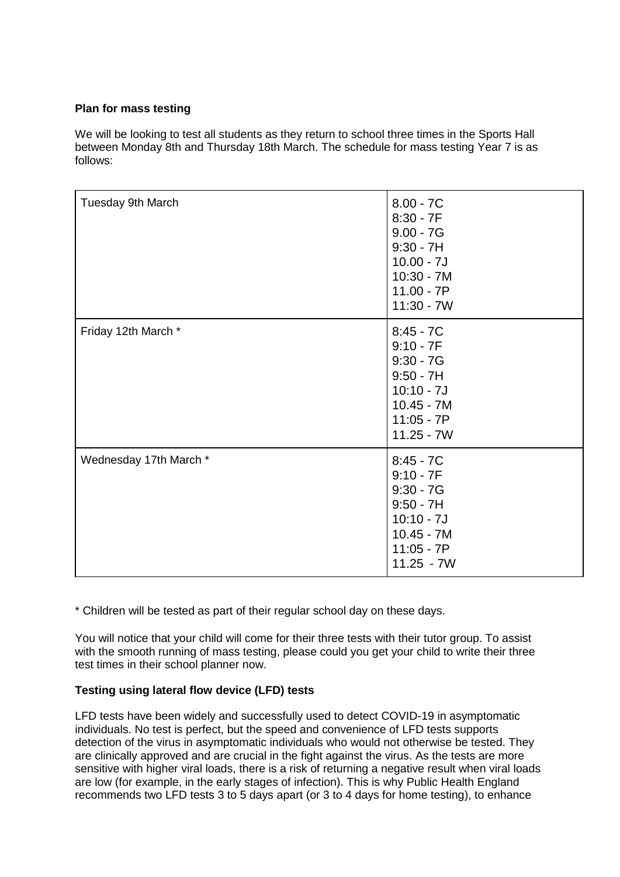# **Plan for mass testing**

We will be looking to test all students as they return to school three times in the Sports Hall between Monday 8th and Thursday 18th March. The schedule for mass testing Year 7 is as follows:

| Tuesday 9th March      | $8.00 - 7C$<br>$8:30 - 7F$<br>$9.00 - 7G$<br>$9:30 - 7H$<br>$10.00 - 7J$<br>$10:30 - 7M$<br>$11.00 - 7P$<br>$11:30 - 7W$ |
|------------------------|--------------------------------------------------------------------------------------------------------------------------|
| Friday 12th March *    | $8:45 - 7C$<br>$9:10 - 7F$<br>$9:30 - 7G$<br>$9:50 - 7H$<br>$10:10 - 7J$<br>$10.45 - 7M$<br>$11:05 - 7P$<br>$11.25 - 7W$ |
| Wednesday 17th March * | $8:45 - 7C$<br>$9:10 - 7F$<br>$9:30 - 7G$<br>$9:50 - 7H$<br>$10:10 - 7J$<br>$10.45 - 7M$<br>$11:05 - 7P$<br>$11.25 - 7W$ |

\* Children will be tested as part of their regular school day on these days.

You will notice that your child will come for their three tests with their tutor group. To assist with the smooth running of mass testing, please could you get your child to write their three test times in their school planner now.

# **Testing using lateral flow device (LFD) tests**

LFD tests have been widely and successfully used to detect COVID-19 in asymptomatic individuals. No test is perfect, but the speed and convenience of LFD tests supports detection of the virus in asymptomatic individuals who would not otherwise be tested. They are clinically approved and are crucial in the fight against the virus. As the tests are more sensitive with higher viral loads, there is a risk of returning a negative result when viral loads are low (for example, in the early stages of infection). This is why Public Health England recommends two LFD tests 3 to 5 days apart (or 3 to 4 days for home testing), to enhance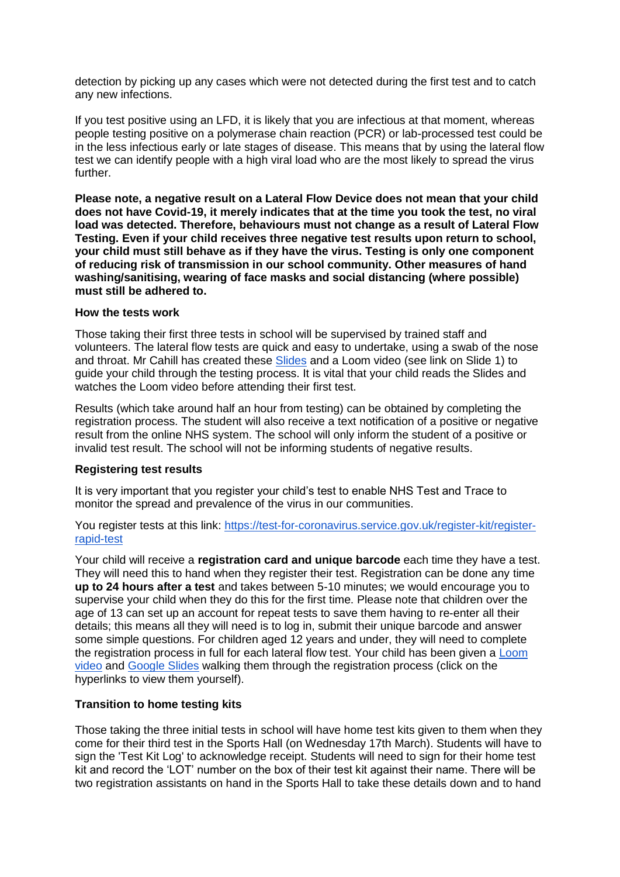detection by picking up any cases which were not detected during the first test and to catch any new infections.

If you test positive using an LFD, it is likely that you are infectious at that moment, whereas people testing positive on a polymerase chain reaction (PCR) or lab-processed test could be in the less infectious early or late stages of disease. This means that by using the lateral flow test we can identify people with a high viral load who are the most likely to spread the virus further.

**Please note, a negative result on a Lateral Flow Device does not mean that your child does not have Covid-19, it merely indicates that at the time you took the test, no viral load was detected. Therefore, behaviours must not change as a result of Lateral Flow Testing. Even if your child receives three negative test results upon return to school, your child must still behave as if they have the virus. Testing is only one component of reducing risk of transmission in our school community. Other measures of hand washing/sanitising, wearing of face masks and social distancing (where possible) must still be adhered to.**

#### **How the tests work**

Those taking their first three tests in school will be supervised by trained staff and volunteers. The lateral flow tests are quick and easy to undertake, using a swab of the nose and throat. Mr Cahill has created these [Slides](https://docs.google.com/presentation/d/1gz1t-rqJkTcXn6FmRusH9uKAaRId2x0yOQJAcbk5ymU/edit?usp=sharing) and a Loom video (see link on Slide 1) to guide your child through the testing process. It is vital that your child reads the Slides and watches the Loom video before attending their first test.

Results (which take around half an hour from testing) can be obtained by completing the registration process. The student will also receive a text notification of a positive or negative result from the online NHS system. The school will only inform the student of a positive or invalid test result. The school will not be informing students of negative results.

# **Registering test results**

It is very important that you register your child's test to enable NHS Test and Trace to monitor the spread and prevalence of the virus in our communities.

You register tests at this link: [https://test-for-coronavirus.service.gov.uk/register-kit/register](https://test-for-coronavirus.service.gov.uk/register-kit/register-rapid-test)[rapid-test](https://test-for-coronavirus.service.gov.uk/register-kit/register-rapid-test)

Your child will receive a **registration card and unique barcode** each time they have a test. They will need this to hand when they register their test. Registration can be done any time **up to 24 hours after a test** and takes between 5-10 minutes; we would encourage you to supervise your child when they do this for the first time. Please note that children over the age of 13 can set up an account for repeat tests to save them having to re-enter all their details; this means all they will need is to log in, submit their unique barcode and answer some simple questions. For children aged 12 years and under, they will need to complete the registration process in full for each lateral flow test. Your child has been given a Loom [video](https://www.loom.com/share/aea42cd2f9124e51b03fe8972f9a3583) and [Google Slides](https://docs.google.com/presentation/d/11chsOQ94u8ECZV-K7yZ9nf1DvangLK9Y0KLWEpb9z-A/edit?usp=sharing) walking them through the registration process (click on the hyperlinks to view them yourself).

#### **Transition to home testing kits**

Those taking the three initial tests in school will have home test kits given to them when they come for their third test in the Sports Hall (on Wednesday 17th March). Students will have to sign the 'Test Kit Log' to acknowledge receipt. Students will need to sign for their home test kit and record the 'LOT' number on the box of their test kit against their name. There will be two registration assistants on hand in the Sports Hall to take these details down and to hand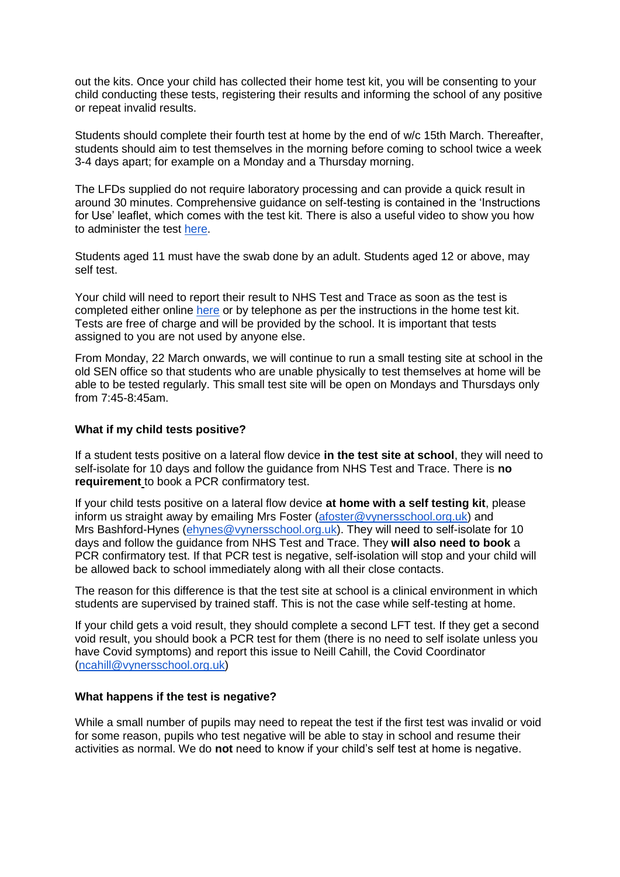out the kits. Once your child has collected their home test kit, you will be consenting to your child conducting these tests, registering their results and informing the school of any positive or repeat invalid results.

Students should complete their fourth test at home by the end of w/c 15th March. Thereafter, students should aim to test themselves in the morning before coming to school twice a week 3-4 days apart; for example on a Monday and a Thursday morning.

The LFDs supplied do not require laboratory processing and can provide a quick result in around 30 minutes. Comprehensive guidance on self-testing is contained in the 'Instructions for Use' leaflet, which comes with the test kit. There is also a useful video to show you how to administer the test [here.](https://www.youtube.com/playlist?list=PLvaBZskxS7tzQYlVg7lwH5uxAD9UrSzGJ)

Students aged 11 must have the swab done by an adult. Students aged 12 or above, may self test.

Your child will need to report their result to NHS Test and Trace as soon as the test is completed either online [here](https://www.gov.uk/report-covid19-result) or by telephone as per the instructions in the home test kit. Tests are free of charge and will be provided by the school. It is important that tests assigned to you are not used by anyone else.

From Monday, 22 March onwards, we will continue to run a small testing site at school in the old SEN office so that students who are unable physically to test themselves at home will be able to be tested regularly. This small test site will be open on Mondays and Thursdays only from 7:45-8:45am.

### **What if my child tests positive?**

If a student tests positive on a lateral flow device **in the test site at school**, they will need to self-isolate for 10 days and follow the guidance from NHS Test and Trace. There is **no requirement** to book a PCR confirmatory test.

If your child tests positive on a lateral flow device **at home with a self testing kit**, please inform us straight away by emailing Mrs Foster [\(afoster@vynersschool.org.uk\)](mailto:afoster@vynersschool.org.uk) and Mrs Bashford-Hynes [\(ehynes@vynersschool.org.uk\)](mailto:ehynes@vynersschool.org.uk). They will need to self-isolate for 10 days and follow the guidance from NHS Test and Trace. They **will also need to book** a PCR confirmatory test. If that PCR test is negative, self-isolation will stop and your child will be allowed back to school immediately along with all their close contacts.

The reason for this difference is that the test site at school is a clinical environment in which students are supervised by trained staff. This is not the case while self-testing at home.

If your child gets a void result, they should complete a second LFT test. If they get a second void result, you should book a PCR test for them (there is no need to self isolate unless you have Covid symptoms) and report this issue to Neill Cahill, the Covid Coordinator [\(ncahill@vynersschool.org.uk\)](mailto:ncahill@vynersschool.org.uk)

#### **What happens if the test is negative?**

While a small number of pupils may need to repeat the test if the first test was invalid or void for some reason, pupils who test negative will be able to stay in school and resume their activities as normal. We do **not** need to know if your child's self test at home is negative.